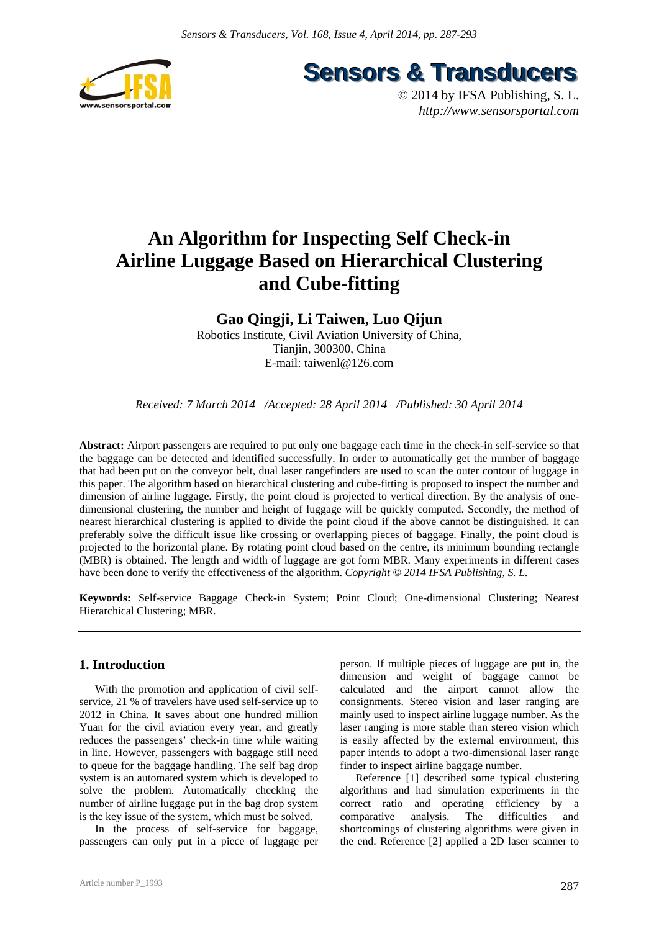

**Sensors & Transducers** 

© 2014 by IFSA Publishing, S. L. *http://www.sensorsportal.com*

# **An Algorithm for Inspecting Self Check-in Airline Luggage Based on Hierarchical Clustering and Cube-fitting**

**Gao Qingji, Li Taiwen, Luo Qijun** 

Robotics Institute, Civil Aviation University of China, Tianjin, 300300, China E-mail: taiwenl@126.com

*Received: 7 March 2014 /Accepted: 28 April 2014 /Published: 30 April 2014* 

**Abstract:** Airport passengers are required to put only one baggage each time in the check-in self-service so that the baggage can be detected and identified successfully. In order to automatically get the number of baggage that had been put on the conveyor belt, dual laser rangefinders are used to scan the outer contour of luggage in this paper. The algorithm based on hierarchical clustering and cube-fitting is proposed to inspect the number and dimension of airline luggage. Firstly, the point cloud is projected to vertical direction. By the analysis of onedimensional clustering, the number and height of luggage will be quickly computed. Secondly, the method of nearest hierarchical clustering is applied to divide the point cloud if the above cannot be distinguished. It can preferably solve the difficult issue like crossing or overlapping pieces of baggage. Finally, the point cloud is projected to the horizontal plane. By rotating point cloud based on the centre, its minimum bounding rectangle (MBR) is obtained. The length and width of luggage are got form MBR. Many experiments in different cases have been done to verify the effectiveness of the algorithm. *Copyright © 2014 IFSA Publishing, S. L.*

**Keywords:** Self-service Baggage Check-in System; Point Cloud; One-dimensional Clustering; Nearest Hierarchical Clustering; MBR.

## **1. Introduction**

With the promotion and application of civil selfservice, 21 % of travelers have used self-service up to 2012 in China. It saves about one hundred million Yuan for the civil aviation every year, and greatly reduces the passengers' check-in time while waiting in line. However, passengers with baggage still need to queue for the baggage handling. The self bag drop system is an automated system which is developed to solve the problem. Automatically checking the number of airline luggage put in the bag drop system is the key issue of the system, which must be solved.

In the process of self-service for baggage, passengers can only put in a piece of luggage per person. If multiple pieces of luggage are put in, the dimension and weight of baggage cannot be calculated and the airport cannot allow the consignments. Stereo vision and laser ranging are mainly used to inspect airline luggage number. As the laser ranging is more stable than stereo vision which is easily affected by the external environment, this paper intends to adopt a two-dimensional laser range finder to inspect airline baggage number.

Reference [1] described some typical clustering algorithms and had simulation experiments in the correct ratio and operating efficiency by a comparative analysis. The difficulties and shortcomings of clustering algorithms were given in the end. Reference [2] applied a 2D laser scanner to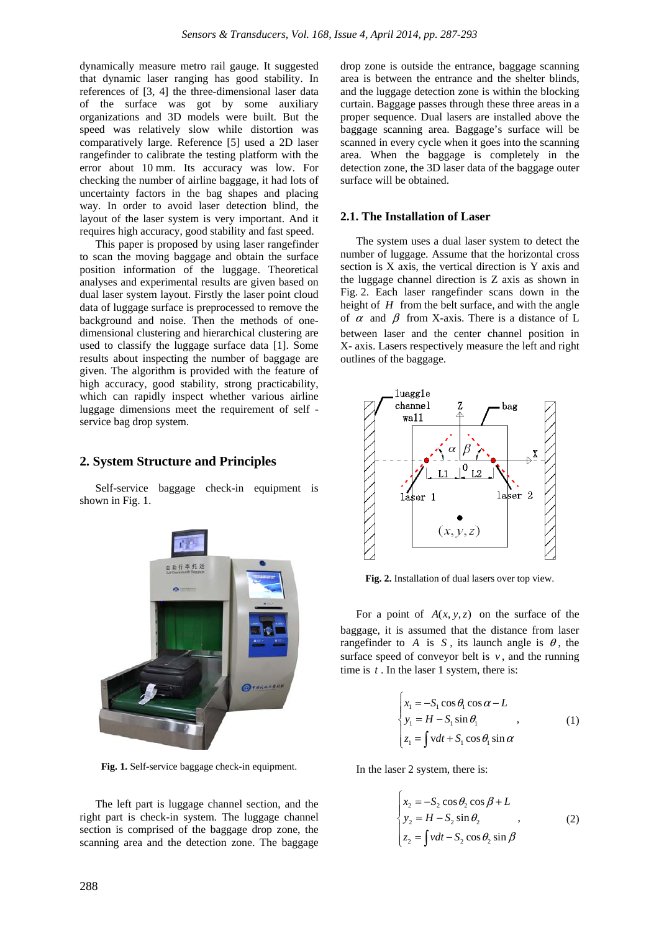dynamically measure metro rail gauge. It suggested that dynamic laser ranging has good stability. In references of [3, 4] the three-dimensional laser data of the surface was got by some auxiliary organizations and 3D models were built. But the speed was relatively slow while distortion was comparatively large. Reference [5] used a 2D laser rangefinder to calibrate the testing platform with the error about 10 mm. Its accuracy was low. For checking the number of airline baggage, it had lots of uncertainty factors in the bag shapes and placing way. In order to avoid laser detection blind, the layout of the laser system is very important. And it requires high accuracy, good stability and fast speed.

This paper is proposed by using laser rangefinder to scan the moving baggage and obtain the surface position information of the luggage. Theoretical analyses and experimental results are given based on dual laser system layout. Firstly the laser point cloud data of luggage surface is preprocessed to remove the background and noise. Then the methods of onedimensional clustering and hierarchical clustering are used to classify the luggage surface data [1]. Some results about inspecting the number of baggage are given. The algorithm is provided with the feature of high accuracy, good stability, strong practicability, which can rapidly inspect whether various airline luggage dimensions meet the requirement of self service bag drop system.

## **2. System Structure and Principles**

Self-service baggage check-in equipment is shown in Fig. 1.



**Fig. 1.** Self-service baggage check-in equipment.

The left part is luggage channel section, and the right part is check-in system. The luggage channel section is comprised of the baggage drop zone, the scanning area and the detection zone. The baggage

drop zone is outside the entrance, baggage scanning area is between the entrance and the shelter blinds, and the luggage detection zone is within the blocking curtain. Baggage passes through these three areas in a proper sequence. Dual lasers are installed above the baggage scanning area. Baggage's surface will be scanned in every cycle when it goes into the scanning area. When the baggage is completely in the detection zone, the 3D laser data of the baggage outer surface will be obtained.

## **2.1. The Installation of Laser**

The system uses a dual laser system to detect the number of luggage. Assume that the horizontal cross section is X axis, the vertical direction is Y axis and the luggage channel direction is Z axis as shown in Fig. 2. Each laser rangefinder scans down in the height of *H* from the belt surface, and with the angle of  $\alpha$  and  $\beta$  from X-axis. There is a distance of L between laser and the center channel position in X- axis. Lasers respectively measure the left and right outlines of the baggage.



**Fig. 2.** Installation of dual lasers over top view.

For a point of  $A(x, y, z)$  on the surface of the baggage, it is assumed that the distance from laser rangefinder to *A* is *S*, its launch angle is  $\theta$ , the surface speed of conveyor belt is  $v$ , and the running time is *t* . In the laser 1 system, there is:

$$
\begin{cases}\n x_1 = -S_1 \cos \theta_1 \cos \alpha - L \\
 y_1 = H - S_1 \sin \theta_1 \\
 z_1 = \int vdt + S_1 \cos \theta_1 \sin \alpha\n\end{cases} (1)
$$

In the laser 2 system, there is:

$$
\begin{cases}\nx_2 = -S_2 \cos \theta_2 \cos \beta + L \\
y_2 = H - S_2 \sin \theta_2 \\
z_2 = \int vdt - S_2 \cos \theta_2 \sin \beta\n\end{cases}
$$
\n(2)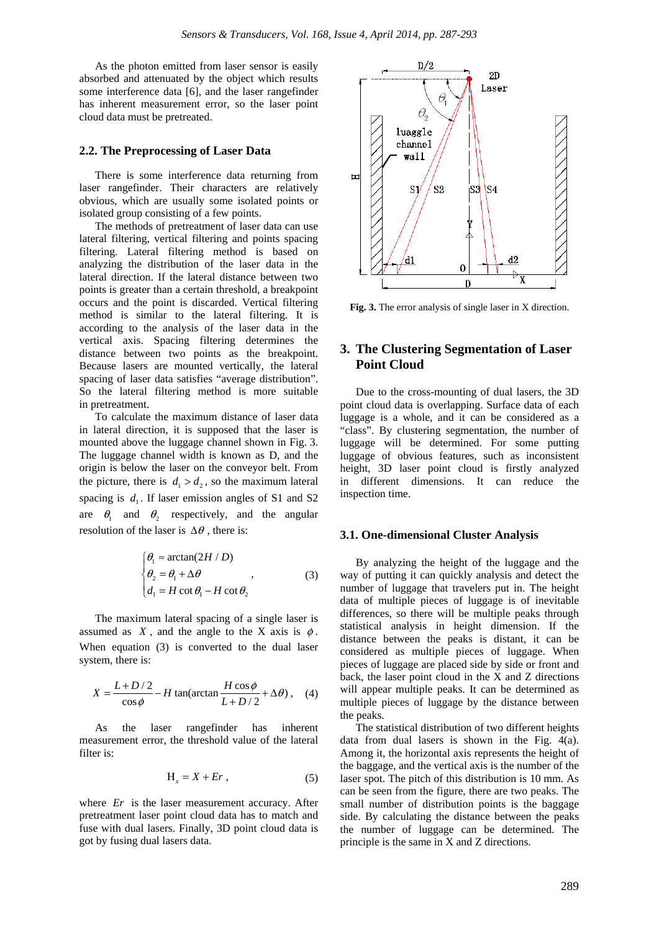As the photon emitted from laser sensor is easily absorbed and attenuated by the object which results some interference data [6], and the laser rangefinder has inherent measurement error, so the laser point cloud data must be pretreated.

## **2.2. The Preprocessing of Laser Data**

There is some interference data returning from laser rangefinder. Their characters are relatively obvious, which are usually some isolated points or isolated group consisting of a few points.

The methods of pretreatment of laser data can use lateral filtering, vertical filtering and points spacing filtering. Lateral filtering method is based on analyzing the distribution of the laser data in the lateral direction. If the lateral distance between two points is greater than a certain threshold, a breakpoint occurs and the point is discarded. Vertical filtering method is similar to the lateral filtering. It is according to the analysis of the laser data in the vertical axis. Spacing filtering determines the distance between two points as the breakpoint. Because lasers are mounted vertically, the lateral spacing of laser data satisfies "average distribution". So the lateral filtering method is more suitable in pretreatment.

To calculate the maximum distance of laser data in lateral direction, it is supposed that the laser is mounted above the luggage channel shown in Fig. 3. The luggage channel width is known as D, and the origin is below the laser on the conveyor belt. From the picture, there is  $d_1 > d_2$ , so the maximum lateral spacing is  $d_1$ . If laser emission angles of S1 and S2 are  $\theta_1$  and  $\theta_2$  respectively, and the angular resolution of the laser is  $\Delta\theta$ , there is:

$$
\begin{cases}\n\theta_1 \approx \arctan(2H/D) \\
\theta_2 = \theta_1 + \Delta\theta \\
d_1 = H \cot \theta_1 - H \cot \theta_2\n\end{cases}
$$
\n(3)

The maximum lateral spacing of a single laser is assumed as  $X$ , and the angle to the X axis is  $\phi$ . When equation (3) is converted to the dual laser system, there is:

$$
X = \frac{L + D/2}{\cos \phi} - H \tan(\arctan \frac{H \cos \phi}{L + D/2} + \Delta \theta), \quad (4)
$$

As the laser rangefinder has inherent measurement error, the threshold value of the lateral filter is:

$$
H_x = X + Er, \t\t(5)
$$

where *Er* is the laser measurement accuracy. After pretreatment laser point cloud data has to match and fuse with dual lasers. Finally, 3D point cloud data is got by fusing dual lasers data.



**Fig. 3.** The error analysis of single laser in X direction.

# **3. The Clustering Segmentation of Laser Point Cloud**

Due to the cross-mounting of dual lasers, the 3D point cloud data is overlapping. Surface data of each luggage is a whole, and it can be considered as a "class". By clustering segmentation, the number of luggage will be determined. For some putting luggage of obvious features, such as inconsistent height, 3D laser point cloud is firstly analyzed in different dimensions. It can reduce the inspection time.

#### **3.1. One-dimensional Cluster Analysis**

By analyzing the height of the luggage and the way of putting it can quickly analysis and detect the number of luggage that travelers put in. The height data of multiple pieces of luggage is of inevitable differences, so there will be multiple peaks through statistical analysis in height dimension. If the distance between the peaks is distant, it can be considered as multiple pieces of luggage. When pieces of luggage are placed side by side or front and back, the laser point cloud in the X and Z directions will appear multiple peaks. It can be determined as multiple pieces of luggage by the distance between the peaks.

The statistical distribution of two different heights data from dual lasers is shown in the Fig. 4(a). Among it, the horizontal axis represents the height of the baggage, and the vertical axis is the number of the laser spot. The pitch of this distribution is 10 mm. As can be seen from the figure, there are two peaks. The small number of distribution points is the baggage side. By calculating the distance between the peaks the number of luggage can be determined. The principle is the same in X and Z directions.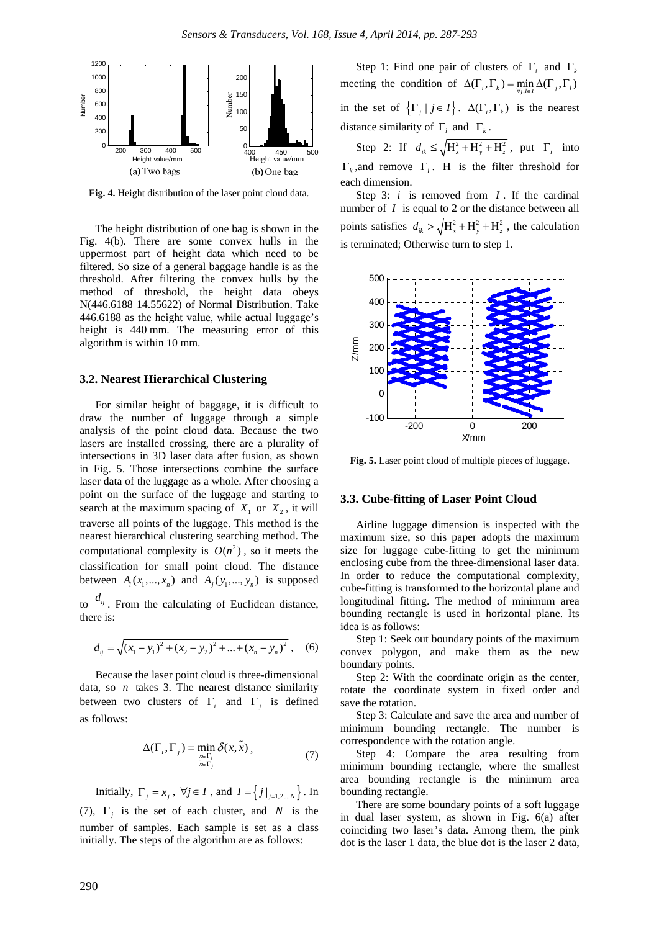

**Fig. 4.** Height distribution of the laser point cloud data.

The height distribution of one bag is shown in the Fig. 4(b). There are some convex hulls in the uppermost part of height data which need to be filtered. So size of a general baggage handle is as the threshold. After filtering the convex hulls by the method of threshold, the height data obeys N(446.6188 14.55622) of Normal Distribution. Take 446.6188 as the height value, while actual luggage's height is 440 mm. The measuring error of this algorithm is within 10 mm.

## **3.2. Nearest Hierarchical Clustering**

For similar height of baggage, it is difficult to draw the number of luggage through a simple analysis of the point cloud data. Because the two lasers are installed crossing, there are a plurality of intersections in 3D laser data after fusion, as shown in Fig. 5. Those intersections combine the surface laser data of the luggage as a whole. After choosing a point on the surface of the luggage and starting to search at the maximum spacing of  $X_1$  or  $X_2$ , it will traverse all points of the luggage. This method is the nearest hierarchical clustering searching method. The computational complexity is  $O(n^2)$ , so it meets the classification for small point cloud. The distance between  $A_i(x_1, ..., x_n)$  and  $A_i(y_1, ..., y_n)$  is supposed

to  $d_{ij}$ . From the calculating of Euclidean distance, there is:

$$
d_{ij} = \sqrt{(x_1 - y_1)^2 + (x_2 - y_2)^2 + \dots + (x_n - y_n)^2},
$$
 (6)

Because the laser point cloud is three-dimensional data, so *n* takes 3. The nearest distance similarity between two clusters of  $\Gamma_i$  and  $\Gamma_j$  is defined as follows:

$$
\Delta(\Gamma_i, \Gamma_j) = \min_{\substack{x \in \Gamma_i \\ \bar{x} \in \Gamma_j}} \delta(x, \bar{x}), \tag{7}
$$

Initially,  $\Gamma_i = x_i$ ,  $\forall j \in I$ , and  $I = \{j \mid i=1,2,...,N\}$ . In (7),  $\Gamma_i$  is the set of each cluster, and *N* is the number of samples. Each sample is set as a class initially. The steps of the algorithm are as follows:

Step 1: Find one pair of clusters of Γ*i* and Γ*<sup>k</sup>* meeting the condition of  $\Delta(\Gamma_i, \Gamma_k) = \min_{\forall j, l \in I} \Delta(\Gamma_j, \Gamma_l)$ in the set of  $\{\Gamma_i \mid j \in I\}$ .  $\Delta(\Gamma_i, \Gamma_k)$  is the nearest distance similarity of  $\Gamma_i$  and  $\Gamma_k$ .

Step 2: If  $d_{ik} \le \sqrt{H_x^2 + H_y^2 + H_z^2}$ , put  $\Gamma_i$  into Γ*<sup>k</sup>* ,and remove Γ*<sup>i</sup>* . Η is the filter threshold for each dimension.

Step 3: *i* is removed from *I* . If the cardinal number of *I* is equal to 2 or the distance between all points satisfies  $d_{ik} > \sqrt{H_x^2 + H_y^2 + H_z^2}$ , the calculation is terminated; Otherwise turn to step 1.



**Fig. 5.** Laser point cloud of multiple pieces of luggage.

#### **3.3. Cube-fitting of Laser Point Cloud**

Airline luggage dimension is inspected with the maximum size, so this paper adopts the maximum size for luggage cube-fitting to get the minimum enclosing cube from the three-dimensional laser data. In order to reduce the computational complexity, cube-fitting is transformed to the horizontal plane and longitudinal fitting. The method of minimum area bounding rectangle is used in horizontal plane. Its idea is as follows:

Step 1: Seek out boundary points of the maximum convex polygon, and make them as the new boundary points.

Step 2: With the coordinate origin as the center, rotate the coordinate system in fixed order and save the rotation.

Step 3: Calculate and save the area and number of minimum bounding rectangle. The number is correspondence with the rotation angle.

Step 4: Compare the area resulting from minimum bounding rectangle, where the smallest area bounding rectangle is the minimum area bounding rectangle.

There are some boundary points of a soft luggage in dual laser system, as shown in Fig. 6(a) after coinciding two laser's data. Among them, the pink dot is the laser 1 data, the blue dot is the laser 2 data,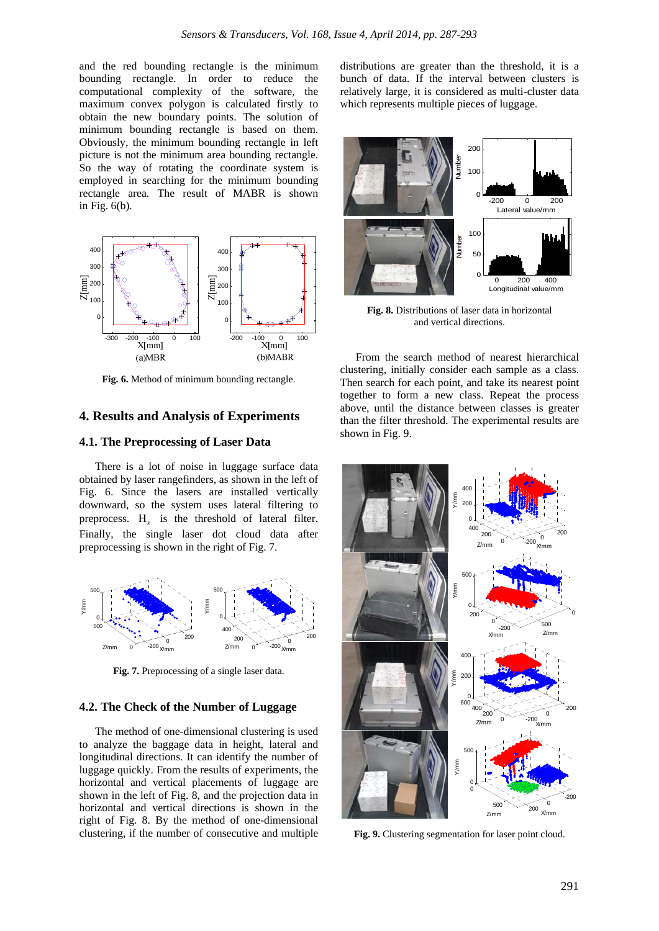and the red bounding rectangle is the minimum bounding rectangle. In order to reduce the computational complexity of the software, the maximum convex polygon is calculated firstly to obtain the new boundary points. The solution of minimum bounding rectangle is based on them. Obviously, the minimum bounding rectangle in left picture is not the minimum area bounding rectangle. So the way of rotating the coordinate system is employed in searching for the minimum bounding rectangle area. The result of MABR is shown in Fig. 6(b).



**Fig. 6.** Method of minimum bounding rectangle.

# **4. Results and Analysis of Experiments**

## **4.1. The Preprocessing of Laser Data**

There is a lot of noise in luggage surface data obtained by laser rangefinders, as shown in the left of Fig. 6. Since the lasers are installed vertically downward, so the system uses lateral filtering to preprocess. H<sub>x</sub> is the threshold of lateral filter. Finally, the single laser dot cloud data after preprocessing is shown in the right of Fig. 7.



**Fig. 7.** Preprocessing of a single laser data.

## **4.2. The Check of the Number of Luggage**

The method of one-dimensional clustering is used to analyze the baggage data in height, lateral and longitudinal directions. It can identify the number of luggage quickly. From the results of experiments, the horizontal and vertical placements of luggage are shown in the left of Fig. 8, and the projection data in horizontal and vertical directions is shown in the right of Fig. 8. By the method of one-dimensional clustering, if the number of consecutive and multiple

distributions are greater than the threshold, it is a bunch of data. If the interval between clusters is relatively large, it is considered as multi-cluster data which represents multiple pieces of luggage.



**Fig. 8.** Distributions of laser data in horizontal and vertical directions.

From the search method of nearest hierarchical clustering, initially consider each sample as a class. Then search for each point, and take its nearest point together to form a new class. Repeat the process above, until the distance between classes is greater than the filter threshold. The experimental results are shown in Fig. 9.



**Fig. 9.** Clustering segmentation for laser point cloud.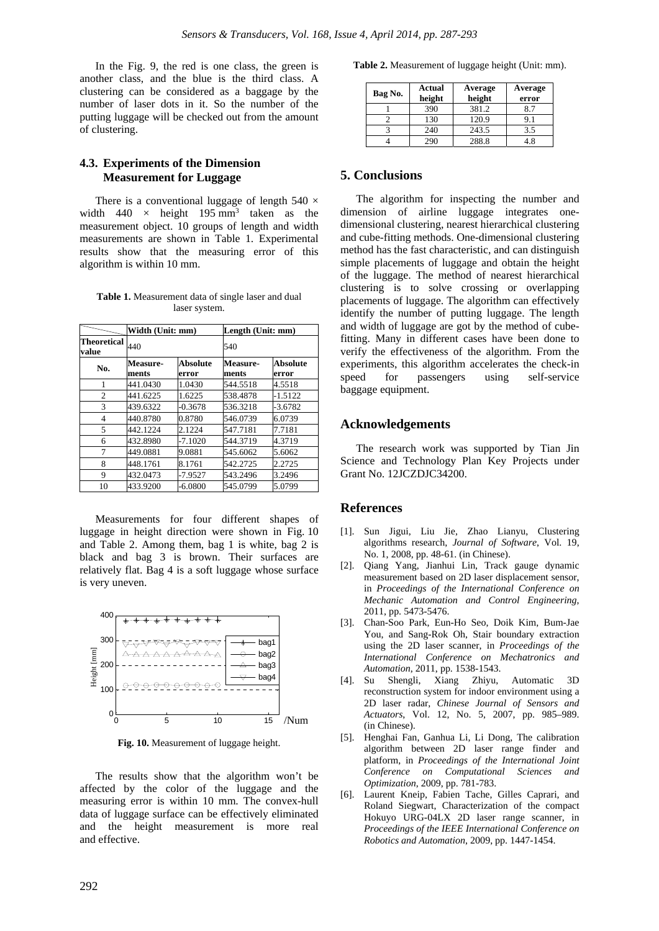In the Fig. 9, the red is one class, the green is another class, and the blue is the third class. A clustering can be considered as a baggage by the number of laser dots in it. So the number of the putting luggage will be checked out from the amount of clustering.

## **4.3. Experiments of the Dimension Measurement for Luggage**

There is a conventional luggage of length  $540 \times$ width  $440 \times$  height  $195 \text{ mm}^3$  taken as the measurement object. 10 groups of length and width measurements are shown in Table 1. Experimental results show that the measuring error of this algorithm is within 10 mm.

**Table 1.** Measurement data of single laser and dual laser system.

|                             | Width (Unit: mm)         |                          | Length (Unit: mm) |                   |
|-----------------------------|--------------------------|--------------------------|-------------------|-------------------|
| <b>Theoretical</b><br>value | 440                      |                          | 540               |                   |
| No.                         | <b>Measure-</b><br>ments | <b>Absolute</b><br>error | Measure-<br>ments | Absolute<br>error |
| 1                           | 441.0430                 | 1.0430                   | 544.5518          | 4.5518            |
| $\overline{c}$              | 441.6225                 | 1.6225                   | 538.4878          | $-1.5122$         |
| 3                           | 439.6322                 | $-0.3678$                | 536.3218          | $-3.6782$         |
| 4                           | 440.8780                 | 0.8780                   | 546.0739          | 6.0739            |
| 5                           | 442.1224                 | 2.1224                   | 547.7181          | 7.7181            |
| 6                           | 432.8980                 | $-7.1020$                | 544.3719          | 4.3719            |
| 7                           | 449.0881                 | 9.0881                   | 545.6062          | 5.6062            |
| 8                           | 448.1761                 | 8.1761                   | 542.2725          | 2.2725            |
| 9                           | 432.0473                 | -7.9527                  | 543.2496          | 3.2496            |
| 10                          | 433.9200                 | $-6.0800$                | 545.0799          | 5.0799            |

Measurements for four different shapes of luggage in height direction were shown in Fig. 10 and Table 2. Among them, bag 1 is white, bag 2 is black and bag 3 is brown. Their surfaces are relatively flat. Bag 4 is a soft luggage whose surface is very uneven.



**Fig. 10.** Measurement of luggage height.

The results show that the algorithm won't be affected by the color of the luggage and the measuring error is within 10 mm. The convex-hull data of luggage surface can be effectively eliminated and the height measurement is more real and effective.

**Table 2.** Measurement of luggage height (Unit: mm).

| Bag No. | <b>Actual</b><br>height | Average<br>height | Average<br>error |
|---------|-------------------------|-------------------|------------------|
|         | 390                     | 381.2             | 8.7              |
|         | 130                     | 120.9             | 9.1              |
|         | 240                     | 243.5             | 3.5              |
|         | 290                     | 288.8             | 48               |

## **5. Conclusions**

The algorithm for inspecting the number and dimension of airline luggage integrates onedimensional clustering, nearest hierarchical clustering and cube-fitting methods. One-dimensional clustering method has the fast characteristic, and can distinguish simple placements of luggage and obtain the height of the luggage. The method of nearest hierarchical clustering is to solve crossing or overlapping placements of luggage. The algorithm can effectively identify the number of putting luggage. The length and width of luggage are got by the method of cubefitting. Many in different cases have been done to verify the effectiveness of the algorithm. From the experiments, this algorithm accelerates the check-in speed for passengers using self-service baggage equipment.

## **Acknowledgements**

The research work was supported by Tian Jin Science and Technology Plan Key Projects under Grant No. 12JCZDJC34200.

## **References**

- [1]. Sun Jigui, Liu Jie, Zhao Lianyu, Clustering algorithms research, *Journal of Software*, Vol. 19, No. 1, 2008, pp. 48-61. (in Chinese).
- [2]. Qiang Yang, Jianhui Lin, Track gauge dynamic measurement based on 2D laser displacement sensor, in *Proceedings of the International Conference on Mechanic Automation and Control Engineering*, 2011, pp. 5473-5476.
- [3]. Chan-Soo Park, Eun-Ho Seo, Doik Kim, Bum-Jae You, and Sang-Rok Oh, Stair boundary extraction using the 2D laser scanner, in *Proceedings of the International Conference on Mechatronics and Automation*, 2011, pp. 1538-1543.
- [4]. Su Shengli, Xiang Zhiyu, Automatic 3D reconstruction system for indoor environment using a 2D laser radar, *Chinese Journal of Sensors and Actuators*, Vol. 12, No. 5, 2007, pp. 985–989. (in Chinese).
- [5]. Henghai Fan, Ganhua Li, Li Dong, The calibration algorithm between 2D laser range finder and platform, in *Proceedings of the International Joint Conference on Computational Sciences and Optimization*, 2009, pp. 781-783.
- [6]. Laurent Kneip, Fabien Tache, Gilles Caprari, and Roland Siegwart, Characterization of the compact Hokuyo URG-04LX 2D laser range scanner, in *Proceedings of the IEEE International Conference on Robotics and Automation*, 2009, pp. 1447-1454.